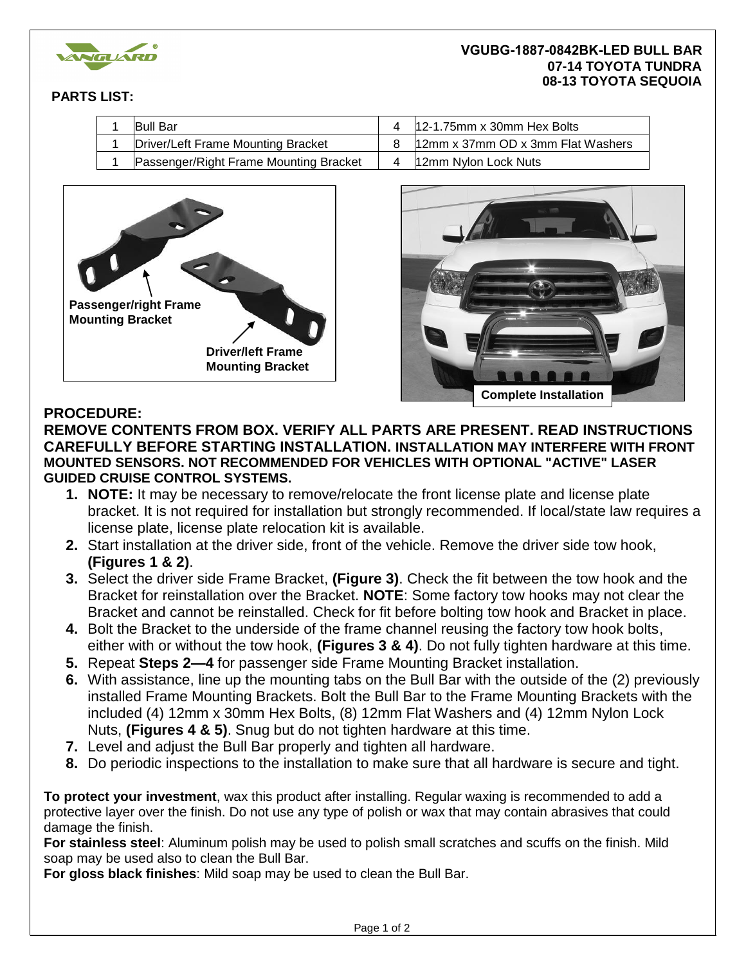

### **VGUBG-1887-0842BK-LED BULL BAR 07-14 TOYOTA TUNDRA 08-13 TOYOTA SEQUOIA**

## **PARTS LIST:**

| IBull Bar                              | 12-1.75mm x 30mm Hex Bolts        |
|----------------------------------------|-----------------------------------|
| Driver/Left Frame Mounting Bracket     | 12mm x 37mm OD x 3mm Flat Washers |
| Passenger/Right Frame Mounting Bracket | 12mm Nylon Lock Nuts              |





# **PROCEDURE:**

# **REMOVE CONTENTS FROM BOX. VERIFY ALL PARTS ARE PRESENT. READ INSTRUCTIONS CAREFULLY BEFORE STARTING INSTALLATION. INSTALLATION MAY INTERFERE WITH FRONT MOUNTED SENSORS. NOT RECOMMENDED FOR VEHICLES WITH OPTIONAL "ACTIVE" LASER GUIDED CRUISE CONTROL SYSTEMS.**

- **1. NOTE:** It may be necessary to remove/relocate the front license plate and license plate bracket. It is not required for installation but strongly recommended. If local/state law requires a license plate, license plate relocation kit is available.
- **2.** Start installation at the driver side, front of the vehicle. Remove the driver side tow hook, **(Figures 1 & 2)**.
- **3.** Select the driver side Frame Bracket, **(Figure 3)**. Check the fit between the tow hook and the Bracket for reinstallation over the Bracket. **NOTE**: Some factory tow hooks may not clear the Bracket and cannot be reinstalled. Check for fit before bolting tow hook and Bracket in place.
- **4.** Bolt the Bracket to the underside of the frame channel reusing the factory tow hook bolts, either with or without the tow hook, **(Figures 3 & 4)**. Do not fully tighten hardware at this time.
- **5.** Repeat **Steps 2—4** for passenger side Frame Mounting Bracket installation.
- **6.** With assistance, line up the mounting tabs on the Bull Bar with the outside of the (2) previously installed Frame Mounting Brackets. Bolt the Bull Bar to the Frame Mounting Brackets with the included (4) 12mm x 30mm Hex Bolts, (8) 12mm Flat Washers and (4) 12mm Nylon Lock Nuts, **(Figures 4 & 5)**. Snug but do not tighten hardware at this time.
- **7.** Level and adjust the Bull Bar properly and tighten all hardware.
- **8.** Do periodic inspections to the installation to make sure that all hardware is secure and tight.

**To protect your investment**, wax this product after installing. Regular waxing is recommended to add a protective layer over the finish. Do not use any type of polish or wax that may contain abrasives that could damage the finish.

**For stainless steel**: Aluminum polish may be used to polish small scratches and scuffs on the finish. Mild soap may be used also to clean the Bull Bar.

**For gloss black finishes**: Mild soap may be used to clean the Bull Bar.